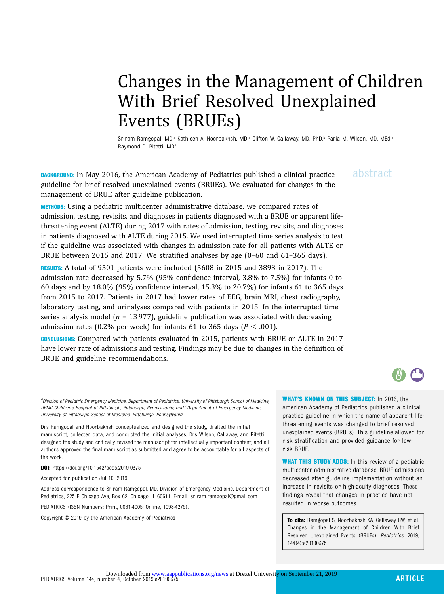# Changes in the Management of Children With Brief Resolved Unexplained Events (BRUEs)

Sriram Ramgopal, MD,<sup>a</sup> Kathleen A. Noorbakhsh, MD,<sup>a</sup> Clifton W. Callaway, MD, PhD,<sup>b</sup> Paria M. Wilson, MD, MEd,<sup>a</sup> Raymond D. Pitetti, MD<sup>a</sup>

**BACKGROUND:** In May 2016, the American Academy of Pediatrics published a clinical practice abstract guideline for brief resolved unexplained events (BRUEs). We evaluated for changes in the management of BRUE after guideline publication.

METHODS: Using a pediatric multicenter administrative database, we compared rates of admission, testing, revisits, and diagnoses in patients diagnosed with a BRUE or apparent lifethreatening event (ALTE) during 2017 with rates of admission, testing, revisits, and diagnoses in patients diagnosed with ALTE during 2015. We used interrupted time series analysis to test if the guideline was associated with changes in admission rate for all patients with ALTE or BRUE between 2015 and 2017. We stratified analyses by age (0–60 and 61–365 days).

RESULTS: A total of 9501 patients were included (5608 in 2015 and 3893 in 2017). The admission rate decreased by 5.7% (95% confidence interval, 3.8% to 7.5%) for infants 0 to 60 days and by 18.0% (95% confidence interval, 15.3% to 20.7%) for infants 61 to 365 days from 2015 to 2017. Patients in 2017 had lower rates of EEG, brain MRI, chest radiography, laboratory testing, and urinalyses compared with patients in 2015. In the interrupted time series analysis model  $(n = 13977)$ , guideline publication was associated with decreasing admission rates (0.2% per week) for infants 61 to 365 days ( $P < .001$ ).

CONCLUSIONS: Compared with patients evaluated in 2015, patients with BRUE or ALTE in 2017 have lower rate of admissions and testing. Findings may be due to changes in the definition of BRUE and guideline recommendations.



<sup>a</sup>Division of Pediatric Emergency Medicine, Department of Pediatrics, University of Pittsburgh School of Medicine, UPMC Children's Hospital of Pittsburgh, Pittsburgh, Pennsylvania; and <sup>b</sup>Department of Emergency Medicine, University of Pittsburgh School of Medicine, Pittsburgh, Pennsylvania

Drs Ramgopal and Noorbakhsh conceptualized and designed the study, drafted the initial manuscript, collected data, and conducted the initial analyses; Drs Wilson, Callaway, and Pitetti designed the study and critically revised the manuscript for intellectually important content; and all authors approved the final manuscript as submitted and agree to be accountable for all aspects of the work.

DOI: <https://doi.org/10.1542/peds.2019-0375>

Accepted for publication Jul 10, 2019

Address correspondence to Sriram Ramgopal, MD, Division of Emergency Medicine, Department of Pediatrics, 225 E Chicago Ave, Box 62, Chicago, IL 60611. E-mail: [sriram.ramgopal@gmail.com](mailto:sriram.ramgopal@gmail.com)

PEDIATRICS (ISSN Numbers: Print, 0031-4005; Online, 1098-4275).

Copyright © 2019 by the American Academy of Pediatrics

WHAT'S KNOWN ON THIS SUBJECT: In 2016, the American Academy of Pediatrics published a clinical practice guideline in which the name of apparent lifethreatening events was changed to brief resolved unexplained events (BRUEs). This guideline allowed for risk stratification and provided guidance for lowrisk BRUE.

**WHAT THIS STUDY ADDS:** In this review of a pediatric multicenter administrative database, BRUE admissions decreased after guideline implementation without an increase in revisits or high-acuity diagnoses. These findings reveal that changes in practice have not resulted in worse outcomes.

To cite: Ramgopal S, Noorbakhsh KA, Callaway CW, et al. Changes in the Management of Children With Brief Resolved Unexplained Events (BRUEs). Pediatrics. 2019; 144(4):e20190375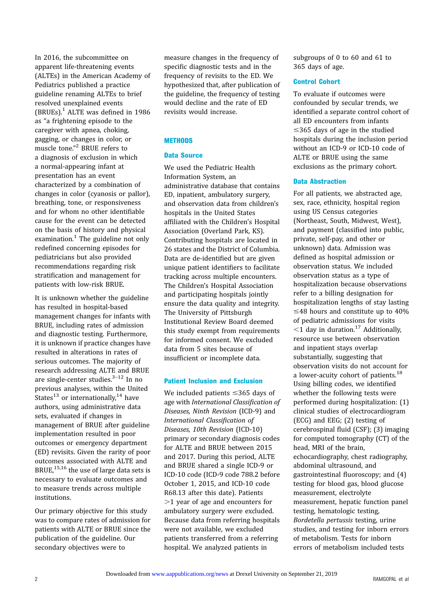In 2016, the subcommittee on apparent life-threatening events (ALTEs) in the American Academy of Pediatrics published a practice guideline renaming ALTEs to brief resolved unexplained events  $(BRUEs).<sup>1</sup>$  $(BRUEs).<sup>1</sup>$  $(BRUEs).<sup>1</sup>$  ALTE was defined in 1986 as "a frightening episode to the caregiver with apnea, choking, gagging, or changes in color, or muscle tone." [2](#page-8-0) BRUE refers to a diagnosis of exclusion in which a normal-appearing infant at presentation has an event characterized by a combination of changes in color (cyanosis or pallor), breathing, tone, or responsiveness and for whom no other identifiable cause for the event can be detected on the basis of history and physical examination. $<sup>1</sup>$  $<sup>1</sup>$  $<sup>1</sup>$  The guideline not only</sup> redefined concerning episodes for pediatricians but also provided recommendations regarding risk stratification and management for patients with low-risk BRUE.

It is unknown whether the guideline has resulted in hospital-based management changes for infants with BRUE, including rates of admission and diagnostic testing. Furthermore, it is unknown if practice changes have resulted in alterations in rates of serious outcomes. The majority of research addressing ALTE and BRUE are single-center studies.<sup>[3](#page-8-0)-[12](#page-8-0)</sup> In no previous analyses, within the United States<sup>[13](#page-8-0)</sup> or internationally,<sup>[14](#page-9-0)</sup> have authors, using administrative data sets, evaluated if changes in management of BRUE after guideline implementation resulted in poor outcomes or emergency department (ED) revisits. Given the rarity of poor outcomes associated with ALTE and BRUE,  $15,16$  the use of large data sets is necessary to evaluate outcomes and to measure trends across multiple institutions.

Our primary objective for this study was to compare rates of admission for patients with ALTE or BRUE since the publication of the guideline. Our secondary objectives were to

measure changes in the frequency of specific diagnostic tests and in the frequency of revisits to the ED. We hypothesized that, after publication of the guideline, the frequency of testing would decline and the rate of ED revisits would increase.

#### **METHODS**

#### Data Source

We used the Pediatric Health Information System, an administrative database that contains ED, inpatient, ambulatory surgery, and observation data from children's hospitals in the United States affiliated with the Children's Hospital Association (Overland Park, KS). Contributing hospitals are located in 26 states and the District of Columbia. Data are de-identified but are given unique patient identifiers to facilitate tracking across multiple encounters. The Children's Hospital Association and participating hospitals jointly ensure the data quality and integrity. The University of Pittsburgh Institutional Review Board deemed this study exempt from requirements for informed consent. We excluded data from 5 sites because of insufficient or incomplete data.

#### Patient Inclusion and Exclusion

We included patients  $\leq 365$  days of age with International Classification of Diseases, Ninth Revision (ICD-9) and International Classification of Diseases, 10th Revision (ICD-10) primary or secondary diagnosis codes for ALTE and BRUE between 2015 and 2017. During this period, ALTE and BRUE shared a single ICD-9 or ICD-10 code (ICD-9 code 788.2 before October 1, 2015, and ICD-10 code R68.13 after this date). Patients  $>1$  year of age and encounters for ambulatory surgery were excluded. Because data from referring hospitals were not available, we excluded patients transferred from a referring hospital. We analyzed patients in

subgroups of 0 to 60 and 61 to 365 days of age.

#### Control Cohort

To evaluate if outcomes were confounded by secular trends, we identified a separate control cohort of all ED encounters from infants  $\leq$ 365 days of age in the studied hospitals during the inclusion period without an ICD-9 or ICD-10 code of ALTE or BRUE using the same exclusions as the primary cohort.

#### Data Abstraction

For all patients, we abstracted age, sex, race, ethnicity, hospital region using US Census categories (Northeast, South, Midwest, West), and payment (classified into public, private, self-pay, and other or unknown) data. Admission was defined as hospital admission or observation status. We included observation status as a type of hospitalization because observations refer to a billing designation for hospitalization lengths of stay lasting  $\leq$ 48 hours and constitute up to 40% of pediatric admissions for visits  $<$ 1 day in duration.<sup>[17](#page-9-0)</sup> Additionally, resource use between observation and inpatient stays overlap substantially, suggesting that observation visits do not account for a lower-acuity cohort of patients.<sup>[18](#page-9-0)</sup> Using billing codes, we identified whether the following tests were performed during hospitalization: (1) clinical studies of electrocardiogram (ECG) and EEG; (2) testing of cerebrospinal fluid (CSF); (3) imaging for computed tomography (CT) of the head, MRI of the brain, echocardiography, chest radiography, abdominal ultrasound, and gastrointestinal fluoroscopy; and (4) testing for blood gas, blood glucose measurement, electrolyte measurement, hepatic function panel testing, hematologic testing, Bordetella pertussis testing, urine studies, and testing for inborn errors of metabolism. Tests for inborn errors of metabolism included tests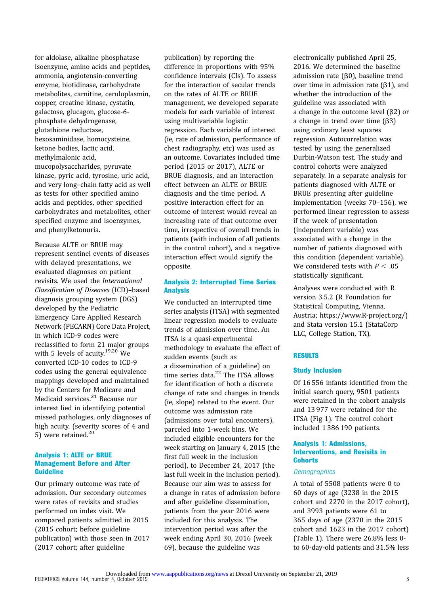for aldolase, alkaline phosphatase isoenzyme, amino acids and peptides, ammonia, angiotensin-converting enzyme, biotidinase, carbohydrate metabolites, carnitine, ceruloplasmin, copper, creatine kinase, cystatin, galactose, glucagon, glucose-6 phosphate dehydrogenase, glutathione reductase, hexosaminidase, homocysteine, ketone bodies, lactic acid, methylmalonic acid, mucopolysaccharides, pyruvate kinase, pyric acid, tyrosine, uric acid, and very long–chain fatty acid as well as tests for other specified amino acids and peptides, other specified carbohydrates and metabolites, other specified enzyme and isoenzymes, and phenylketonuria.

Because ALTE or BRUE may represent sentinel events of diseases with delayed presentations, we evaluated diagnoses on patient revisits. We used the International Classification of Diseases (ICD)–based diagnosis grouping system (DGS) developed by the Pediatric Emergency Care Applied Research Network (PECARN) Core Data Project, in which ICD-9 codes were reclassified to form 21 major groups with 5 levels of acuity.<sup>[19,20](#page-9-0)</sup> We converted ICD-10 codes to ICD-9 codes using the general equivalence mappings developed and maintained by the Centers for Medicare and Medicaid services.<sup>[21](#page-9-0)</sup> Because our interest lied in identifying potential missed pathologies, only diagnoses of high acuity, (severity scores of 4 and 5) were retained.<sup>[20](#page-9-0)</sup>

#### Analysis 1: ALTE or BRUE Management Before and After Guideline

Our primary outcome was rate of admission. Our secondary outcomes were rates of revisits and studies performed on index visit. We compared patients admitted in 2015 (2015 cohort; before guideline publication) with those seen in 2017 (2017 cohort; after guideline

publication) by reporting the difference in proportions with 95% confidence intervals (CIs). To assess for the interaction of secular trends on the rates of ALTE or BRUE management, we developed separate models for each variable of interest using multivariable logistic regression. Each variable of interest (ie, rate of admission, performance of chest radiography, etc) was used as an outcome. Covariates included time period (2015 or 2017), ALTE or BRUE diagnosis, and an interaction effect between an ALTE or BRUE diagnosis and the time period. A positive interaction effect for an outcome of interest would reveal an increasing rate of that outcome over time, irrespective of overall trends in patients (with inclusion of all patients in the control cohort), and a negative interaction effect would signify the opposite.

#### Analysis 2: Interrupted Time Series Analysis

We conducted an interrupted time series analysis (ITSA) with segmented linear regression models to evaluate trends of admission over time. An ITSA is a quasi-experimental methodology to evaluate the effect of sudden events (such as a dissemination of a guideline) on time series data. $22$  The ITSA allows for identification of both a discrete change of rate and changes in trends (ie, slope) related to the event. Our outcome was admission rate (admissions over total encounters), parceled into 1-week bins. We included eligible encounters for the week starting on January 4, 2015 (the first full week in the inclusion period), to December 24, 2017 (the last full week in the inclusion period). Because our aim was to assess for a change in rates of admission before and after guideline dissemination, patients from the year 2016 were included for this analysis. The intervention period was after the week ending April 30, 2016 (week 69), because the guideline was

electronically published April 25, 2016. We determined the baseline admission rate  $(60)$ , baseline trend over time in admission rate  $(\beta1)$ , and whether the introduction of the guideline was associated with a change in the outcome level  $(\beta 2)$  or a change in trend over time  $(\beta 3)$ using ordinary least squares regression. Autocorrelation was tested by using the generalized Durbin-Watson test. The study and control cohorts were analyzed separately. In a separate analysis for patients diagnosed with ALTE or BRUE presenting after guideline implementation (weeks 70–156), we performed linear regression to assess if the week of presentation (independent variable) was associated with a change in the number of patients diagnosed with this condition (dependent variable). We considered tests with  $P < .05$ statistically significant.

Analyses were conducted with R version 3.5.2 (R Foundation for Statistical Computing, Vienna, Austria; [https://www.R-project.org/\)](https://www.R-project.org/) and Stata version 15.1 (StataCorp LLC, College Station, TX).

### **RESULTS**

#### Study Inclusion

Of 16 556 infants identified from the initial search query, 9501 patients were retained in the cohort analysis and 13 977 were retained for the ITSA [\(Fig 1\)](#page-3-0). The control cohort included 1 386 190 patients.

#### Analysis 1: Admissions, Interventions, and Revisits in **Cohorts**

#### **Demographics**

A total of 5508 patients were 0 to 60 days of age (3238 in the 2015 cohort and 2270 in the 2017 cohort), and 3993 patients were 61 to 365 days of age (2370 in the 2015 cohort and 1623 in the 2017 cohort) (Table 1). There were 26.8% less 0 to 60-day-old patients and 31.5% less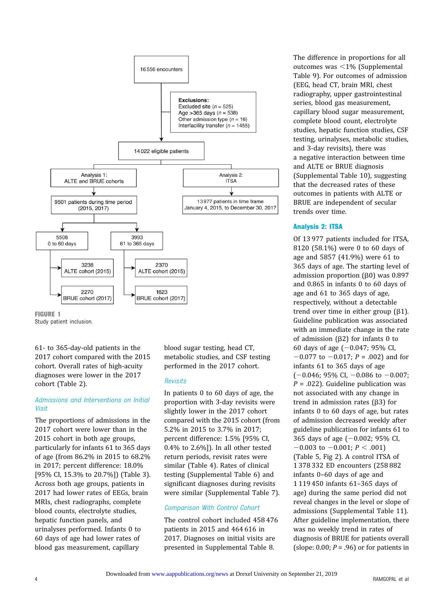<span id="page-3-0"></span>



61- to 365-day-old patients in the 2017 cohort compared with the 2015 cohort. Overall rates of high-acuity diagnoses were lower in the 2017 cohort (Table 2).

#### Admissions and Interventions on Initial Visit

The proportions of admissions in the 2017 cohort were lower than in the 2015 cohort in both age groups, particularly for infants 61 to 365 days of age (from 86.2% in 2015 to 68.2% in 2017; percent difference: 18.0% [95% CI, 15.3% to 20.7%]) (Table 3). Across both age groups, patients in 2017 had lower rates of EEGs, brain MRIs, chest radiographs, complete blood counts, electrolyte studies, hepatic function panels, and urinalyses performed. Infants 0 to 60 days of age had lower rates of blood gas measurement, capillary

blood sugar testing, head CT, metabolic studies, and CSF testing performed in the 2017 cohort.

#### **Revisits**

In patients 0 to 60 days of age, the proportion with 3-day revisits were slightly lower in the 2017 cohort compared with the 2015 cohort (from 5.2% in 2015 to 3.7% in 2017; percent difference: 1.5% [95% CI, 0.4% to 2.6%]). In all other tested return periods, revisit rates were similar (Table 4). Rates of clinical testing [\(Supplemental Table 6](https://pediatrics.aappublications.org/lookup/suppl/doi:10.1542/peds.2019-0375/-/DCSupplemental/)) and significant diagnoses during revisits were similar [\(Supplemental Table 7](https://pediatrics.aappublications.org/lookup/suppl/doi:10.1542/peds.2019-0375/-/DCSupplemental/)).

#### Comparison With Control Cohort

The control cohort included 458 476 patients in 2015 and 464 616 in 2017. Diagnoses on initial visits are presented in [Supplemental Table 8.](https://pediatrics.aappublications.org/lookup/suppl/doi:10.1542/peds.2019-0375/-/DCSupplemental/)

The difference in proportions for all outcomes was  $\langle 1\%$  ([Supplemental](https://pediatrics.aappublications.org/lookup/suppl/doi:10.1542/peds.2019-0375/-/DCSupplemental/) [Table 9](https://pediatrics.aappublications.org/lookup/suppl/doi:10.1542/peds.2019-0375/-/DCSupplemental/)). For outcomes of admission (EEG, head CT, brain MRI, chest radiography, upper gastrointestinal series, blood gas measurement, capillary blood sugar measurement, complete blood count, electrolyte studies, hepatic function studies, CSF testing, urinalyses, metabolic studies, and 3-day revisits), there was a negative interaction between time and ALTE or BRUE diagnosis [\(Supplemental Table 10](https://pediatrics.aappublications.org/lookup/suppl/doi:10.1542/peds.2019-0375/-/DCSupplemental/)), suggesting that the decreased rates of these outcomes in patients with ALTE or BRUE are independent of secular trends over time.

#### Analysis 2: ITSA

Of 13 977 patients included for ITSA, 8120 (58.1%) were 0 to 60 days of age and 5857 (41.9%) were 61 to 365 days of age. The starting level of admission proportion  $(\beta 0)$  was 0.897 and 0.865 in infants 0 to 60 days of age and 61 to 365 days of age, respectively, without a detectable trend over time in either group  $(\beta 1)$ . Guideline publication was associated with an immediate change in the rate of admission  $(\beta 2)$  for infants 0 to 60 days of age  $(-0.047; 95%$  CI,  $-0.077$  to  $-0.017$ ;  $P = .002$ ) and for infants 61 to 365 days of age  $(-0.046; 95\% \text{ CI}, -0.086 \text{ to } -0.007;$  $P = .022$ ). Guideline publication was not associated with any change in trend in admission rates  $(\beta 3)$  for infants 0 to 60 days of age, but rates of admission decreased weekly after guideline publication for infants 61 to 365 days of age  $(-0.002; 95% \text{ CI},$  $-0.003$  to  $-0.001$ ;  $P < .001$ ) (Table 5, [Fig 2](#page-7-0)). A control ITSA of 1 378 332 ED encounters (258 882 infants 0–60 days of age and 1 119 450 infants 61–365 days of age) during the same period did not reveal changes in the level or slope of admissions [\(Supplemental Table 11](https://pediatrics.aappublications.org/lookup/suppl/doi:10.1542/peds.2019-0375/-/DCSupplemental/)). After guideline implementation, there was no weekly trend in rates of diagnosis of BRUE for patients overall (slope: 0.00;  $P = .96$ ) or for patients in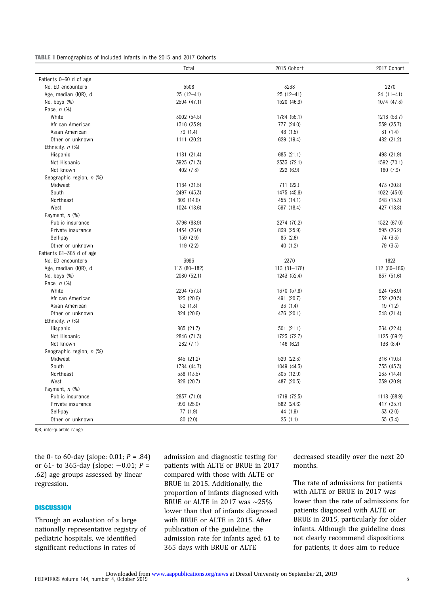| <b>TABLE 1</b> Demographics of Included Infants in the 2015 and 2017 Cohorts |
|------------------------------------------------------------------------------|
|------------------------------------------------------------------------------|

|                                     | Total                     | 2015 Cohort  | 2017 Cohort              |
|-------------------------------------|---------------------------|--------------|--------------------------|
| Patients 0-60 d of age              |                           |              |                          |
| No. ED encounters                   | 5508                      | 3238         | 2270                     |
| Age, median (IQR), d                | $25(12-41)$               | $25(12-41)$  | $24(11-41)$              |
| No. boys (%)                        | 2594 (47.1)               | 1520 (46.9)  | 1074 (47.3)              |
| Race, n (%)                         |                           |              |                          |
| White                               | 3002 (54.5)               | 1784 (55.1)  | 1218 (53.7)              |
| African American                    | 1316 (23.9)               | 777 (24.0)   | 539 (23.7)               |
| Asian American                      | 79 (1.4)                  | 48 (1.5)     | 31(1.4)                  |
| Other or unknown                    | 1111 (20.2)               | 629 (19.4)   | 482 (21.2)               |
| Ethnicity, n (%)                    |                           |              |                          |
| Hispanic                            | 1181 (21.4)               | 683 (21.1)   | 498 (21.9)               |
| Not Hispanic                        | 3925 (71.3)               | 2333 (72.1)  | 1592 (70.1)              |
| Not known                           | 402 (7.3)                 | 222 (6.9)    | 180 (7.9)                |
| Geographic region, n (%)            |                           |              |                          |
| Midwest                             | 1184 (21.5)               | 711 (22.)    | 473 (20.8)               |
| South                               | 2497 (45.3)               | 1475 (45.6)  | 1022 (45.0)              |
| Northeast                           | 803 (14.6)                | 455 (14.1)   | 348 (15.3)               |
| West                                | 1024 (18.6)               | 597 (18.4)   | 427 (18.8)               |
| Payment, n (%)                      |                           |              |                          |
| Public insurance                    | 3796 (68.9)               | 2274 (70.2)  | 1522 (67.0)              |
| Private insurance                   | 1434 (26.0)               | 839 (25.9)   | 595 (26.2)               |
| Self-pay                            | 159 (2.9)                 | 85 (2.6)     | 74 (3.3)                 |
| Other or unknown                    | 119(2.2)                  | 40 (1.2)     | 79 (3.5)                 |
| Patients 61-365 d of age            |                           |              |                          |
| No. ED encounters                   | 3993                      | 2370         | 1623                     |
| Age, median (IQR), d                | 113 (80-182)              | 113 (81-178) | 112 (80-186)             |
| No. boys (%)                        | 2080 (52.1)               | 1243 (52.4)  | 837 (51.6)               |
| Race, $n$ $(\%)$                    |                           |              |                          |
| White                               | 2294 (57.5)               | 1370 (57.8)  | 924 (56.9)               |
| African American                    | 823 (20.6)                | 491 (20.7)   | 332 (20.5)               |
| Asian American                      | 52(1.3)                   | 33(1.4)      | 19(1.2)                  |
| Other or unknown                    | 824 (20.6)                | 476 (20.1)   | 348 (21.4)               |
| Ethnicity, n (%)                    |                           |              |                          |
| Hispanic                            | 865 (21.7)                | 501(21.1)    | 364 (22.4)               |
| Not Hispanic                        | 2846 (71.3)               | 1723 (72.7)  | 1123 (69.2)              |
| Not known                           | 282 (7.1)                 | 146(6.2)     | 136 (8.4)                |
| Geographic region, n (%)<br>Midwest |                           | 529 (22.3)   |                          |
| South                               | 845 (21.2)<br>1784 (44.7) | 1049 (44.3)  | 316 (19.5)<br>735 (45.3) |
| Northeast                           |                           | 305 (12.9)   |                          |
| West                                | 538 (13.5)<br>826 (20.7)  | 487 (20.5)   | 233 (14.4)<br>339 (20.9) |
|                                     |                           |              |                          |
| Payment, n (%)<br>Public insurance  | 2837 (71.0)               | 1719 (72.5)  | 1118 (68.9)              |
| Private insurance                   | 999 (25.0)                | 582 (24.6)   | 417 (25.7)               |
| Self-pay                            | 77 (1.9)                  | 44 (1.9)     | 33 (2.0)                 |
| Other or unknown                    | 80(2.0)                   |              | 55 (3.4)                 |
|                                     |                           | 25(1.1)      |                          |

IQR, interquartile range.

the 0- to 60-day (slope: 0.01;  $P = .84$ ) or 61- to 365-day (slope:  $-0.01; P =$ .62) age groups assessed by linear regression.

#### **DISCUSSION**

Through an evaluation of a large nationally representative registry of pediatric hospitals, we identified significant reductions in rates of

admission and diagnostic testing for patients with ALTE or BRUE in 2017 compared with those with ALTE or BRUE in 2015. Additionally, the proportion of infants diagnosed with BRUE or ALTE in 2017 was ∼25% lower than that of infants diagnosed with BRUE or ALTE in 2015. After publication of the guideline, the admission rate for infants aged 61 to 365 days with BRUE or ALTE

decreased steadily over the next 20 months.

The rate of admissions for patients with ALTE or BRUE in 2017 was lower than the rate of admissions for patients diagnosed with ALTE or BRUE in 2015, particularly for older infants. Although the guideline does not clearly recommend dispositions for patients, it does aim to reduce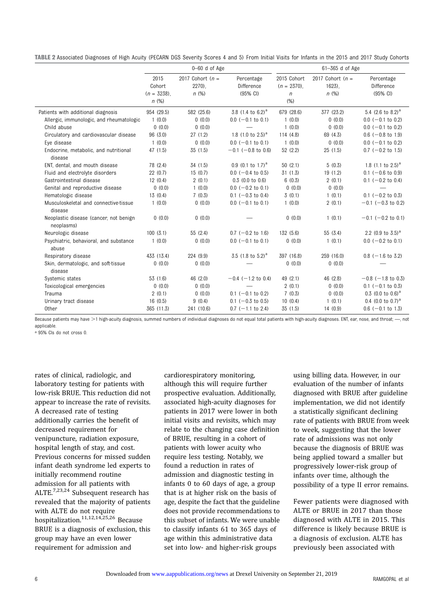TABLE 2 Associated Diagnoses of High Acuity (PECARN DGS Severity Scores 4 and 5) From Initial Visits for Infants in the 2015 and 2017 Study Cohorts

|                                                      |                                  | $0 - 60$ d of Age                       |                                                |                                             | 61-365 d of Age                         |                                                |
|------------------------------------------------------|----------------------------------|-----------------------------------------|------------------------------------------------|---------------------------------------------|-----------------------------------------|------------------------------------------------|
|                                                      | 2015<br>Cohort<br>$(n = 3238)$ . | 2017 Cohort $(n =$<br>$2270$ ).<br>n(%) | Percentage<br>Difference<br>$(95% \text{ Cl})$ | 2015 Cohort<br>$(n = 2370)$ .<br>$\sqrt{n}$ | 2017 Cohort $(n =$<br>$1623$ ).<br>n(%) | Percentage<br>Difference<br>$(95% \text{ Cl})$ |
|                                                      | n(%)                             |                                         |                                                | (% )                                        |                                         |                                                |
| Patients with additional diagnosis                   | 954 (29.5)                       | 582 (25.6)                              | 3.8 $(1.4 \text{ to } 6.2)^a$                  | 679 (28.6)                                  | 377 (23.2)                              | 5.4 (2.6 to 8.2) <sup>a</sup>                  |
| Allergic, immunologic, and rheumatologic             | 1(0.0)                           | 0(0.0)                                  | $0.0$ (-0.1 to 0.1)                            | 1(0.0)                                      | 0(0.0)                                  | $0.0$ (-0.1 to 0.2)                            |
| Child abuse                                          | 0(0.0)                           | 0(0.0)                                  |                                                | 1(0.0)                                      | 0(0.0)                                  | $0.0$ (-0.1 to 0.2)                            |
| Circulatory and cardiovascular disease               | 96 (3.0)                         | 27(1.2)                                 | 1.8 (1.0 to $2.5$ ) <sup>a</sup>               | 114(4.8)                                    | 69 (4.3)                                | $0.6$ (-0.8 to 1.9)                            |
| Eye disease                                          | 1(0.0)                           | 0(0.0)                                  | $0.0$ (-0.1 to 0.1)                            | 1(0.0)                                      | 0(0.0)                                  | $0.0$ (-0.1 to 0.2)                            |
| Endocrine, metabolic, and nutritional<br>disease     | 47 (1.5)                         | 35(1.5)                                 | $-0.1$ ( $-0.8$ to 0.6)                        | 52 (2.2)                                    | 25(1.5)                                 | $0.7$ (-0.2 to 1.5)                            |
| ENT, dental, and mouth disease                       | 78 (2.4)                         | 34 (1.5)                                | 0.9 (0.1 to 1.7) <sup>a</sup>                  | 50(2.1)                                     | 5(0.3)                                  | 1.8 $(1.1 \text{ to } 2.5)^{a}$                |
| Fluid and electrolyte disorders                      | 22(0.7)                          | 15(0.7)                                 | $0.0$ (-0.4 to 0.5)                            | 31(1.3)                                     | 19(1.2)                                 | $0.1$ (-0.6 to 0.9)                            |
| Gastrointestinal disease                             | 12(0.4)                          | 2(0.1)                                  | $0.3$ (0.0 to 0.6)                             | 6(0.3)                                      | 2(0.1)                                  | $0.1$ (-0.2 to 0.4)                            |
| Genital and reproductive disease                     | 0(0.0)                           | 1(0.0)                                  | $0.0$ (-0.2 to 0.1)                            | 0(0.0)                                      | 0(0.0)                                  |                                                |
| Hematologic disease                                  | 13(0.4)                          | 7(0.3)                                  | $0.1$ (-0.3 to 0.4)                            | 3(0.1)                                      | 1(0.1)                                  | $0.1$ (-0.2 to 0.3)                            |
| Musculoskeletal and connective-tissue<br>disease     | 1(0.0)                           | 0(0.0)                                  | $0.0$ (-0.1 to 0.1)                            | 1(0.0)                                      | 2(0.1)                                  | $-0.1$ ( $-0.3$ to 0.2)                        |
| Neoplastic disease (cancer, not benign<br>neoplasms) | 0(0.0)                           | 0(0.0)                                  |                                                | 0(0.0)                                      | 1(0.1)                                  | $-0.1$ (-0.2 to 0.1)                           |
| Neurologic disease                                   | 100(3.1)                         | 55 (2.4)                                | $0.7$ (-0.2 to 1.6)                            | 132 (5.6)                                   | 55 (3.4)                                | 2.2 (0.9 to $3.5$ ) <sup>a</sup>               |
| Psychiatric, behavioral, and substance<br>abuse      | 1(0.0)                           | 0(0.0)                                  | $0.0$ (-0.1 to 0.1)                            | 0(0.0)                                      | 1(0.1)                                  | $0.0$ (-0.2 to 0.1)                            |
| Respiratory disease                                  | 433 (13.4)                       | 224 (9.9)                               | 3.5 (1.8 to 5.2) <sup>a</sup>                  | 397 (16.8)                                  | 259 (16.0)                              | $0.8$ (-1.6 to 3.2)                            |
| Skin, dermatologic, and soft-tissue<br>disease       | 0(0.0)                           | 0(0.0)                                  |                                                | 0(0.0)                                      | 0(0.0)                                  |                                                |
| Systemic states                                      | 53(1.6)                          | 46 (2.0)                                | $-0.4$ ( $-1.2$ to 0.4)                        | 49 (2.1)                                    | 46 (2.8)                                | $-0.8$ ( $-1.8$ to 0.3)                        |
| Toxicological emergencies                            | 0(0.0)                           | 0(0.0)                                  |                                                | 2(0.1)                                      | 0(0.0)                                  | $0.1$ (-0.1 to 0.3)                            |
| Trauma                                               | 2(0.1)                           | 0(0.0)                                  | $0.1$ (-0.1 to 0.2)                            | 7(0.3)                                      | 0(0.0)                                  | $0.3$ (0.0 to 0.6) <sup>a</sup>                |
| Urinary tract disease                                | 16(0.5)                          | 9(0.4)                                  | $0.1$ (-0.3 to 0.5)                            | 10(0.4)                                     | 1(0.1)                                  | 0.4 (0.0 to 0.7) <sup>a</sup>                  |
| 0ther                                                | 365 (11.3)                       | 241 (10.6)                              | $0.7$ (-1.1 to 2.4)                            | 35(1.5)                                     | 14(0.9)                                 | $0.6$ (-0.1 to 1.3)                            |

Because patients may have >1 high-acuity diagnosis, summed numbers of individual diagnoses do not equal total patients with high-acuity diagnoses. ENT, ear, nose, and throat: --, not applicable

a 95% CIs do not cross 0.

rates of clinical, radiologic, and laboratory testing for patients with low-risk BRUE. This reduction did not appear to increase the rate of revisits. A decreased rate of testing additionally carries the benefit of decreased requirement for venipuncture, radiation exposure, hospital length of stay, and cost. Previous concerns for missed sudden infant death syndrome led experts to initially recommend routine admission for all patients with ALTE.[7](#page-8-0),[23,24](#page-9-0) Subsequent research has revealed that the majority of patients with ALTE do not require hospitalization. $11,12,14,25,26$  $11,12,14,25,26$  $11,12,14,25,26$  $11,12,14,25,26$  $11,12,14,25,26$  Because BRUE is a diagnosis of exclusion, this group may have an even lower requirement for admission and

cardiorespiratory monitoring, although this will require further prospective evaluation. Additionally, associated high-acuity diagnoses for patients in 2017 were lower in both initial visits and revisits, which may relate to the changing case definition of BRUE, resulting in a cohort of patients with lower acuity who require less testing. Notably, we found a reduction in rates of admission and diagnostic testing in infants 0 to 60 days of age, a group that is at higher risk on the basis of age, despite the fact that the guideline does not provide recommendations to this subset of infants. We were unable to classify infants 61 to 365 days of age within this administrative data set into low- and higher-risk groups

using billing data. However, in our evaluation of the number of infants diagnosed with BRUE after guideline implementation, we did not identify a statistically significant declining rate of patients with BRUE from week to week, suggesting that the lower rate of admissions was not only because the diagnosis of BRUE was being applied toward a smaller but progressively lower-risk group of infants over time, although the possibility of a type II error remains.

Fewer patients were diagnosed with ALTE or BRUE in 2017 than those diagnosed with ALTE in 2015. This difference is likely because BRUE is a diagnosis of exclusion. ALTE has previously been associated with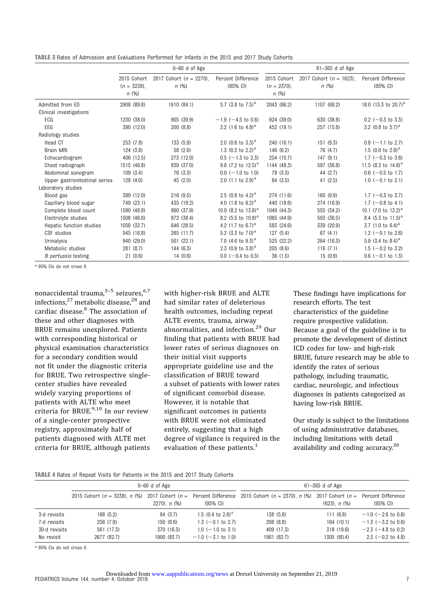TABLE 3 Rates of Admission and Evaluations Performed for Infants in the 2015 and 2017 Study Cohorts

|                               | 0-60 d of Age                         |                                     |                                          | 61-365 d of Age                       |                                     |                                    |
|-------------------------------|---------------------------------------|-------------------------------------|------------------------------------------|---------------------------------------|-------------------------------------|------------------------------------|
|                               | 2015 Cohort<br>$(n = 3238)$ ,<br>n(%) | 2017 Cohort ( $n = 2270$ ).<br>n(%) | Percent Difference<br>$(95% \text{ Cl})$ | 2015 Cohort<br>$(n = 2370)$ .<br>n(%) | 2017 Cohort ( $n = 1623$ ).<br>n(%) | Percent Difference<br>(95% CI)     |
| Admitted from ED              | 2908 (89.8)                           | 1910 (84.1)                         | 5.7 (3.8 to 7.5) <sup>a</sup>            | 2043 (86.2)                           | 1107 (68.2)                         | 18.0 (15.3 to 20.7) <sup>a</sup>   |
| Clinical investigations       |                                       |                                     |                                          |                                       |                                     |                                    |
| ECG                           | 1230 (38.0)                           | 905 (39.9)                          | $-1.9$ (-4.5 to 0.8)                     | 924 (39.0)                            | 630 (38.8)                          | $0.2$ (-0.3 to 3.3)                |
| EEG                           | 390 (12.0)                            | 200(8.8)                            | 3.2 (1.6 to 4.9) <sup>a</sup>            | 452 (19.1)                            | 257 (15.8)                          | 3.2 (0.8 to 5.7) <sup>a</sup>      |
| Radiology studies             |                                       |                                     |                                          |                                       |                                     |                                    |
| Head CT                       | 253 (7.8)                             | 133 (5.9)                           | 2.0 $(0.6 \text{ to } 3.3)^a$            | 240(10.1)                             | 151 (9.3)                           | $0.8$ $(-1.1$ to 2.7)              |
| <b>Brain MRI</b>              | 124(3.8)                              | 58 (2.6)                            | 1.3 (0.3 to 2.2) <sup>a</sup>            | 146(6.2)                              | 76 (4.7)                            | 1.5 (0.0 to $2.9$ ) <sup>a</sup>   |
| Echocardiogram                | 406 (12.5)                            | 273 (12.0)                          | $0.5$ ( $-1.3$ to 2.3)                   | 254 (10.7)                            | 147(9.1)                            | $1.7$ (-0.3 to 3.6)                |
| Chest radiograph              | 1515 (46.8)                           | 839 (37.0)                          | 9.8 (7.2 to $12.5$ ) <sup>a</sup>        | 1144 (48.3)                           | 597 (36.8)                          | 11.5 (8.3 to $14.6$ ) <sup>a</sup> |
| Abdominal sonogram            | 109(3.4)                              | 76 (3.3)                            | $0.0$ (-1.0 to 1.0)                      | 78 (3.3)                              | 44 (2.7)                            | $0.6$ (-0.5 to 1.7)                |
| Upper gastrointestinal series | 128(4.0)                              | 45(2.0)                             | 2.0 $(1.1 \text{ to } 2.9)^{a}$          | 84 (3.5)                              | 41(2.5)                             | $1.0$ (-0.1 to 2.1)                |
| Laboratory studies            |                                       |                                     |                                          |                                       |                                     |                                    |
| Blood gas                     | 389 (12.0)                            | 216(9.5)                            | 2.5 (0.8 to 4.2) <sup>a</sup>            | 274 (11.6)                            | 160(9.9)                            | 1.7 $(-0.3$ to 3.7)                |
| Capillary blood sugar         | 749 (23.1)                            | 435 (19.2)                          | 4.0 $(1.8 \text{ to } 6.2)^a$            | 440 (18.6)                            | 274 (16.9)                          | $1.7$ (-0.8 to 4.1)                |
| Complete blood count          | 1580 (48.8)                           | 860 (37.9)                          | 10.9 (8.2 to $13.6$ ) <sup>a</sup>       | 1049 (44.3)                           | 555 (34.2)                          | 10.1 (7.0 to $13.2$ ) <sup>a</sup> |
| Electrolyte studies           | 1508 (46.6)                           | 872 (38.4)                          | 8.2 (5.5 to $10.8$ ) <sup>a</sup>        | 1065 (44.9)                           | 593 (36.5)                          | 8.4 (5.3 to $11.5$ ) <sup>a</sup>  |
| Hepatic function studies      | 1059 (32.7)                           | 646 (28.5)                          | 4.2 (1.7 to 6.7) <sup>a</sup>            | 583 (24.6)                            | 339 (20.9)                          | 3.7 $(1.0 \text{ to } 6.4)^a$      |
| CSF studies                   | 545 (16.8)                            | 265 (11.7)                          | 5.2 (3.3 to $7.0$ ) <sup>a</sup>         | 127(5.4)                              | 67(4.1)                             | $1.2$ (-0.1 to 2.6)                |
| Urinalysis                    | 940 (29.0)                            | 501 (22.1)                          | 7.0 $(4.6 \text{ to } 9.3)^a$            | 525 (22.2)                            | 264 (16.3)                          | 5.9 $(3.4 \text{ to } 8.4)^a$      |
| Metabolic studies             | 281 (8.7)                             | 144 (6.3)                           | 2.3 (0.9 to $3.8$ ) <sup>a</sup>         | 205(8.6)                              | 116(7.1)                            | $1.5$ (-0.2 to 3.2)                |
| B pertussis testing           | 21(0.6)                               | 14(0.6)                             | $0.0$ (-0.4 to 0.5)                      | 36(1.5)                               | 15(0.9)                             | $0.6$ (-0.1 to 1.3)                |

a 95% CIs do not cross 0.

nonaccidental trauma, $3-5$  $3-5$  $3-5$  seizures, $6,7$ infections, $27$  metabolic disease, $28$  and cardiac disease.<sup>[8](#page-8-0)</sup> The association of these and other diagnoses with BRUE remains unexplored. Patients with corresponding historical or physical examination characteristics for a secondary condition would not fit under the diagnostic criteria for BRUE. Two retrospective singlecenter studies have revealed widely varying proportions of patients with ALTE who meet criteria for BRUE. $9,10$  In our review of a single-center prospective registry, approximately half of patients diagnosed with ALTE met criteria for BRUE, although patients

with higher-risk BRUE and ALTE had similar rates of deleterious health outcomes, including repeat ALTE events, trauma, airway abnormalities, and infection.<sup>[29](#page-9-0)</sup> Our finding that patients with BRUE had lower rates of serious diagnoses on their initial visit supports appropriate guideline use and the classification of BRUE toward a subset of patients with lower rates of significant comorbid disease. However, it is notable that significant outcomes in patients with BRUE were not eliminated entirely, suggesting that a high degree of vigilance is required in the evaluation of these patients. $1$ 

These findings have implications for research efforts. The test characteristics of the guideline require prospective validation. Because a goal of the guideline is to promote the development of distinct ICD codes for low- and high-risk BRUE, future research may be able to identify the rates of serious pathology, including traumatic, cardiac, neurologic, and infectious diagnoses in patients categorized as having low-risk BRUE.

Our study is subject to the limitations of using administrative databases, including limitations with detail availability and coding accuracy.[30](#page-9-0)

#### TABLE 4 Rates of Repeat Visits for Patients in the 2015 and 2017 Study Cohorts

|               | $0 - 60$ d of Age                   |                                                             |                                  | $61 - 365$ d of Age                                                        |                |                                           |
|---------------|-------------------------------------|-------------------------------------------------------------|----------------------------------|----------------------------------------------------------------------------|----------------|-------------------------------------------|
|               | 2015 Cohort ( $n = 3238$ ), $n$ (%) | 2017 Cohort ( $n=$<br>$2270$ , n $\left(\frac{9}{6}\right)$ | $(95\% \, \text{Cl})$            | Percent Difference 2015 Cohort ( $n = 2370$ ), $n$ (%) 2017 Cohort ( $n =$ | 1623). $n$ (%) | Percent Difference<br>$(95\% \text{ Cl})$ |
| 3-d revisits  | 168 (5.2)                           | 84 (3.7)                                                    | 1.5 (0.4 to $2.6$ ) <sup>a</sup> | 138 (5.8)                                                                  | 111(6.8)       | $-1.0$ ( $-2.6$ to 0.6)                   |
| 7-d revisits  | 256 (7.9)                           | 150(6.6)                                                    | $1.3$ (-0.1 to 2.7)              | 208(8.8)                                                                   | 164(10.1)      | $-1.3$ ( $-3.2$ to 0.6)                   |
| 30-d revisits | 561 (17.3)                          | 370 (16.3)                                                  | $1.0$ (-1.0 to 3.1)              | 409 (17.3)                                                                 | 318 (19.6)     | $-2.3$ ( $-4.8$ to 0.2)                   |
| No revisit    | 2677 (82.7)                         | 1900 (83.7)                                                 | $-1.0$ ( $-3.1$ to 1.0)          | 1961 (82.7)                                                                | 1305 (80.4)    | $2.3$ (-0.2 to 4.8)                       |

a 95% CIs do not cross 0.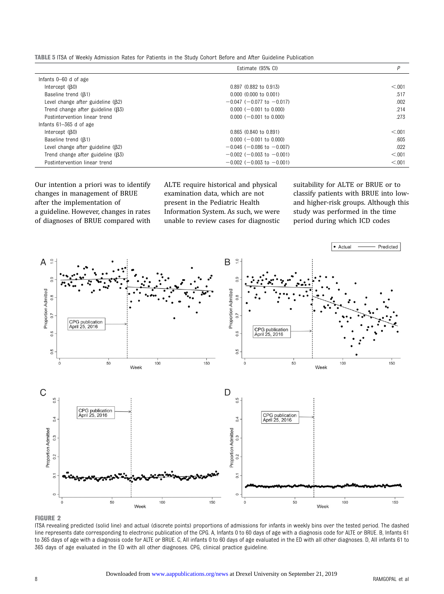<span id="page-7-0"></span>TABLE 5 ITSA of Weekly Admission Rates for Patients in the Study Cohort Before and After Guideline Publication

| 0.897 (0.882 to 0.913)            | < 0.01            |
|-----------------------------------|-------------------|
| $0.000$ (0.000 to 0.001)          | .517              |
| $-0.047$ (-0.077 to -0.017)       | .002              |
| $0.000 (-0.001 to 0.000)$         | .214              |
| $0.000 (-0.001$ to $0.000)$       | .273              |
|                                   |                   |
| $0.865$ (0.840 to 0.891)          | < 0.01            |
| $0.000 (-0.001 to 0.000)$         | .605              |
| $-0.046$ (-0.086 to -0.007)       | .022              |
| $-0.002$ ( $-0.003$ to $-0.001$ ) | < 0.01            |
| $-0.002$ ( $-0.003$ to $-0.001$ ) | < 0.01            |
|                                   | Estimate (95% CI) |

Our intention a priori was to identify changes in management of BRUE after the implementation of a guideline. However, changes in rates of diagnoses of BRUE compared with

ALTE require historical and physical examination data, which are not present in the Pediatric Health Information System. As such, we were unable to review cases for diagnostic suitability for ALTE or BRUE or to classify patients with BRUE into lowand higher-risk groups. Although this study was performed in the time period during which ICD codes



#### FIGURE 2

ITSA revealing predicted (solid line) and actual (discrete points) proportions of admissions for infants in weekly bins over the tested period. The dashed line represents date corresponding to electronic publication of the CPG. A, Infants 0 to 60 days of age with a diagnosis code for ALTE or BRUE. B, Infants 61 to 365 days of age with a diagnosis code for ALTE or BRUE. C, All infants 0 to 60 days of age evaluated in the ED with all other diagnoses. D, All infants 61 to 365 days of age evaluated in the ED with all other diagnoses. CPG, clinical practice guideline.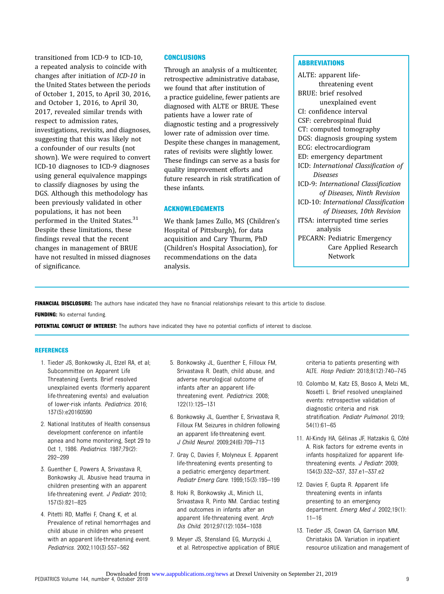<span id="page-8-0"></span>transitioned from ICD-9 to ICD-10, a repeated analysis to coincide with changes after initiation of ICD-10 in the United States between the periods of October 1, 2015, to April 30, 2016, and October 1, 2016, to April 30, 2017, revealed similar trends with respect to admission rates, investigations, revisits, and diagnoses, suggesting that this was likely not a confounder of our results (not shown). We were required to convert ICD-10 diagnoses to ICD-9 diagnoses using general equivalence mappings to classify diagnoses by using the DGS. Although this methodology has been previously validated in other populations, it has not been performed in the United States.<sup>[31](#page-9-0)</sup> Despite these limitations, these findings reveal that the recent changes in management of BRUE have not resulted in missed diagnoses of significance.

#### **CONCLUSIONS**

Through an analysis of a multicenter, retrospective administrative database, we found that after institution of a practice guideline, fewer patients are diagnosed with ALTE or BRUE. These patients have a lower rate of diagnostic testing and a progressively lower rate of admission over time. Despite these changes in management, rates of revisits were slightly lower. These findings can serve as a basis for quality improvement efforts and future research in risk stratification of these infants.

#### ACKNOWLEDGMENTS

We thank James Zullo, MS (Children's Hospital of Pittsburgh), for data acquisition and Cary Thurm, PhD (Children's Hospital Association), for recommendations on the data analysis.

#### **ABBREVIATIONS**

ALTE: apparent lifethreatening event BRUE: brief resolved unexplained event CI: confidence interval CSF: cerebrospinal fluid CT: computed tomography DGS: diagnosis grouping system ECG: electrocardiogram ED: emergency department ICD: International Classification of Diseases ICD-9: International Classification of Diseases, Ninth Revision ICD-10: International Classification of Diseases, 10th Revision ITSA: interrupted time series analysis PECARN: Pediatric Emergency Care Applied Research Network

FINANCIAL DISCLOSURE: The authors have indicated they have no financial relationships relevant to this article to disclose.

FUNDING: No external funding.

POTENTIAL CONFLICT OF INTEREST: The authors have indicated they have no potential conflicts of interest to disclose.

#### **REFERENCES**

- 1. Tieder JS, Bonkowsky JL, Etzel RA, et al; Subcommittee on Apparent Life Threatening Events. Brief resolved unexplained events (formerly apparent life-threatening events) and evaluation of lower-risk infants. Pediatrics. 2016; 137(5):e20160590
- 2. National Institutes of Health consensus development conference on infantile apnea and home monitoring, Sept 29 to Oct 1, 1986. Pediatrics. 1987;79(2): 292–299
- 3. Guenther E, Powers A, Srivastava R, Bonkowsky JL. Abusive head trauma in children presenting with an apparent life-threatening event. J Pediatr. 2010; 157(5):821–825
- 4. Pitetti RD, Maffei F, Chang K, et al. Prevalence of retinal hemorrhages and child abuse in children who present with an apparent life-threatening event. Pediatrics. 2002;110(3):557–562
- 5. Bonkowsky JL, Guenther E, Filloux FM, Srivastava R. Death, child abuse, and adverse neurological outcome of infants after an apparent lifethreatening event. Pediatrics. 2008; 122(1):125–131
- 6. Bonkowsky JL, Guenther E, Srivastava R, Filloux FM. Seizures in children following an apparent life-threatening event. J Child Neurol. 2009;24(6):709–713
- 7. Gray C, Davies F, Molyneux E. Apparent life-threatening events presenting to a pediatric emergency department. Pediatr Emerg Care. 1999;15(3):195–199
- 8. Hoki R, Bonkowsky JL, Minich LL, Srivastava R, Pinto NM. Cardiac testing and outcomes in infants after an apparent life-threatening event. Arch Dis Child. 2012;97(12):1034–1038
- 9. Meyer JS, Stensland EG, Murzycki J, et al. Retrospective application of BRUE

criteria to patients presenting with ALTE. Hosp Pediatr. 2018;8(12):740–745

- 10. Colombo M, Katz ES, Bosco A, Melzi ML, Nosetti L. Brief resolved unexplained events: retrospective validation of diagnostic criteria and risk stratification. Pediatr Pulmonol. 2019; 54(1):61–65
- 11. Al-Kindy HA, Gélinas JF, Hatzakis G, Côté A. Risk factors for extreme events in infants hospitalized for apparent lifethreatening events. J Pediatr. 2009; 154(3):332–337, 337.e1–337.e2
- 12. Davies F, Gupta R. Apparent life threatening events in infants presenting to an emergency department. Emerg Med J. 2002;19(1): 11–16
- 13. Tieder JS, Cowan CA, Garrison MM, Christakis DA. Variation in inpatient resource utilization and management of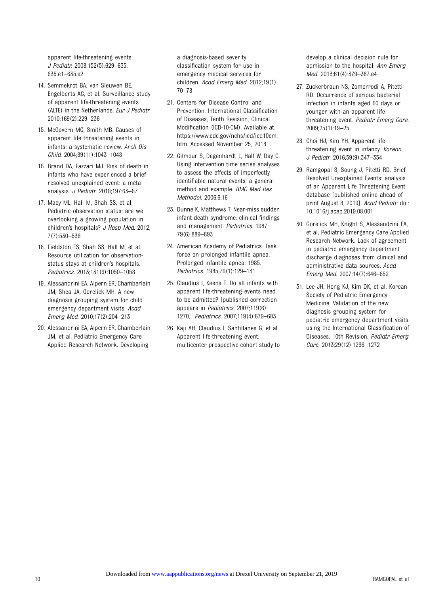<span id="page-9-0"></span>apparent life-threatening events. J Pediatr. 2008;152(5):629–635, 635.e1–635.e2

- 14. Semmekrot BA, van Sleuwen BE, Engelberts AC, et al. Surveillance study of apparent life-threatening events (ALTE) in the Netherlands. Eur J Pediatr. 2010;169(2):229–236
- 15. McGovern MC, Smith MB. Causes of apparent life threatening events in infants: a systematic review. Arch Dis Child. 2004;89(11):1043–1048
- 16. Brand DA, Fazzari MJ. Risk of death in infants who have experienced a brief resolved unexplained event: a metaanalysis. J Pediatr. 2018;197:63–67
- 17. Macy ML, Hall M, Shah SS, et al. Pediatric observation status: are we overlooking a growing population in children's hospitals? J Hosp Med. 2012; 7(7):530–536
- 18. Fieldston ES, Shah SS, Hall M, et al. Resource utilization for observationstatus stays at children's hospitals. Pediatrics. 2013;131(6):1050–1058
- 19. Alessandrini EA, Alpern ER, Chamberlain JM, Shea JA, Gorelick MH. A new diagnosis grouping system for child emergency department visits. Acad Emerg Med. 2010;17(2):204–213
- 20. Alessandrini EA, Alpern ER, Chamberlain JM, et al; Pediatric Emergency Care Applied Research Network. Developing

a diagnosis-based severity classification system for use in emergency medical services for children. Acad Emerg Med. 2012;19(1): 70–78

- 21. Centers for Disease Control and Prevention. International Classification of Diseases, Tenth Revision, Clinical Modification (ICD-10-CM). Available at: [https://www.cdc.gov/nchs/icd/icd10cm.](https://www.cdc.gov/nchs/icd/icd10cm.htm) [htm.](https://www.cdc.gov/nchs/icd/icd10cm.htm) Accessed November 25, 2018
- 22. Gilmour S, Degenhardt L, Hall W, Day C. Using intervention time series analyses to assess the effects of imperfectly identifiable natural events: a general method and example. BMC Med Res Methodol. 2006;6:16
- 23. Dunne K, Matthews T. Near-miss sudden infant death syndrome: clinical findings and management. Pediatrics. 1987; 79(6):889–893
- 24. American Academy of Pediatrics. Task force on prolonged infantile apnea. Prolonged infantile apnea: 1985. Pediatrics. 1985;76(1):129–131
- 25. Claudius I, Keens T. Do all infants with apparent life-threatening events need to be admitted? [published correction appears in Pediatrics. 2007;119(6): 1270]. Pediatrics. 2007;119(4):679–683
- 26. Kaji AH, Claudius I, Santillanes G, et al. Apparent life-threatening event: multicenter prospective cohort study to

develop a clinical decision rule for admission to the hospital. Ann Emerg Med. 2013;61(4):379–387.e4

- 27. Zuckerbraun NS, Zomorrodi A, Pitetti RD. Occurrence of serious bacterial infection in infants aged 60 days or younger with an apparent lifethreatening event. Pediatr Emerg Care. 2009;25(1):19–25
- 28. Choi HJ, Kim YH. Apparent lifethreatening event in infancy. Korean J Pediatr. 2016;59(9):347–354
- 29. Ramgopal S, Soung J, Pitetti RD. Brief Resolved Unexplained Events: analysis of an Apparent Life Threatening Event database [published online ahead of print August 8, 2019]. Acad Pediatr. doi: 10.1016/j.acap.2019.08.001
- 30. Gorelick MH, Knight S, Alessandrini EA, et al; Pediatric Emergency Care Applied Research Network. Lack of agreement in pediatric emergency department discharge diagnoses from clinical and administrative data sources. Acad Emerg Med. 2007;14(7):646–652
- 31. Lee JH, Hong KJ, Kim DK, et al; Korean Society of Pediatric Emergency Medicine. Validation of the new diagnosis grouping system for pediatric emergency department visits using the International Classification of Diseases, 10th Revision. Pediatr Emerg Care. 2013;29(12):1266–1272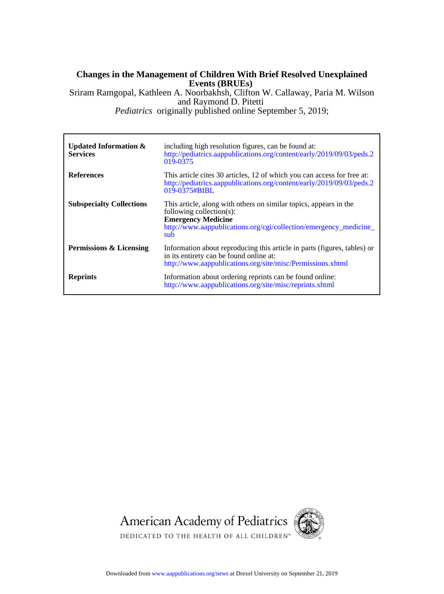## **Events (BRUEs) Changes in the Management of Children With Brief Resolved Unexplained**

*Pediatrics* originally published online September 5, 2019; and Raymond D. Pitetti Sriram Ramgopal, Kathleen A. Noorbakhsh, Clifton W. Callaway, Paria M. Wilson

| Updated Information $\&$<br><b>Services</b> | including high resolution figures, can be found at:<br>http://pediatrics.aappublications.org/content/early/2019/09/03/peds.2<br>019-0375                                                               |
|---------------------------------------------|--------------------------------------------------------------------------------------------------------------------------------------------------------------------------------------------------------|
| <b>References</b>                           | This article cites 30 articles, 12 of which you can access for free at:<br>http://pediatrics.aappublications.org/content/early/2019/09/03/peds.2<br>019-0375#BIBL                                      |
| <b>Subspecialty Collections</b>             | This article, along with others on similar topics, appears in the<br>following collection(s):<br><b>Emergency Medicine</b><br>http://www.aappublications.org/cgi/collection/emergency_medicine_<br>sub |
| Permissions & Licensing                     | Information about reproducing this article in parts (figures, tables) or<br>in its entirety can be found online at:<br>http://www.aappublications.org/site/misc/Permissions.xhtml                      |
| <b>Reprints</b>                             | Information about ordering reprints can be found online:<br>http://www.aappublications.org/site/misc/reprints.xhtml                                                                                    |